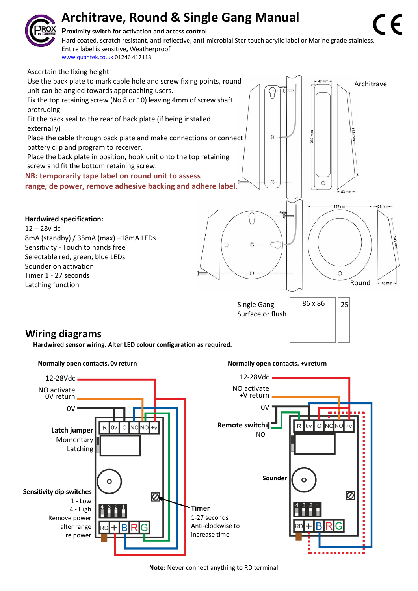# **Architrave, Round & Single Gang Manual**



#### **Proximity switch for activation and access control**

**Square** Entire label is sensitive**,** Weatherproof Hard coated, scratch resistant, anti-reflective, anti-microbial Steritouch acrylic label or Marine grade stainless. [www.quantek.co.uk](http://www.quantek.co.uk/) 01246 417113



### **Wiring diagrams**

**Hardwired sensor wiring. Alter LED colour configuration as required.**